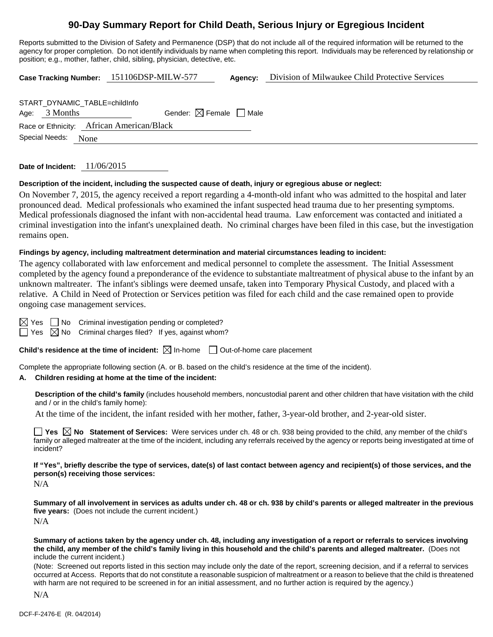# **90-Day Summary Report for Child Death, Serious Injury or Egregious Incident**

Reports submitted to the Division of Safety and Permanence (DSP) that do not include all of the required information will be returned to the agency for proper completion. Do not identify individuals by name when completing this report. Individuals may be referenced by relationship or position; e.g., mother, father, child, sibling, physician, detective, etc.

|                                           | Case Tracking Number: 151106DSP-MILW-577 | Agency: | Division of Milwaukee Child Protective Services |  |  |  |  |  |
|-------------------------------------------|------------------------------------------|---------|-------------------------------------------------|--|--|--|--|--|
|                                           |                                          |         |                                                 |  |  |  |  |  |
| START DYNAMIC TABLE=childInfo             |                                          |         |                                                 |  |  |  |  |  |
| Age: $3$ Months                           | Gender: $\boxtimes$ Female $\Box$ Male   |         |                                                 |  |  |  |  |  |
| Race or Ethnicity: African American/Black |                                          |         |                                                 |  |  |  |  |  |
| Special Needs: None                       |                                          |         |                                                 |  |  |  |  |  |

**Date of Incident:** 11/06/2015

#### **Description of the incident, including the suspected cause of death, injury or egregious abuse or neglect:**

On November 7, 2015, the agency received a report regarding a 4-month-old infant who was admitted to the hospital and later pronounced dead. Medical professionals who examined the infant suspected head trauma due to her presenting symptoms. Medical professionals diagnosed the infant with non-accidental head trauma. Law enforcement was contacted and initiated a criminal investigation into the infant's unexplained death. No criminal charges have been filed in this case, but the investigation remains open.

#### **Findings by agency, including maltreatment determination and material circumstances leading to incident:**

The agency collaborated with law enforcement and medical personnel to complete the assessment. The Initial Assessment completed by the agency found a preponderance of the evidence to substantiate maltreatment of physical abuse to the infant by an unknown maltreater. The infant's siblings were deemed unsafe, taken into Temporary Physical Custody, and placed with a relative. A Child in Need of Protection or Services petition was filed for each child and the case remained open to provide ongoing case management services.

No Criminal investigation pending or completed?  $\boxtimes$  No Criminal charges filed? If yes, against whom?

**Child's residence at the time of incident:**  $\boxtimes$  In-home  $\Box$  Out-of-home care placement

Complete the appropriate following section (A. or B. based on the child's residence at the time of the incident).

## **A. Children residing at home at the time of the incident:**

**Description of the child's family** (includes household members, noncustodial parent and other children that have visitation with the child and / or in the child's family home):

At the time of the incident, the infant resided with her mother, father, 3-year-old brother, and 2-year-old sister.

**Yes No Statement of Services:** Were services under ch. 48 or ch. 938 being provided to the child, any member of the child's family or alleged maltreater at the time of the incident, including any referrals received by the agency or reports being investigated at time of incident?

**If "Yes", briefly describe the type of services, date(s) of last contact between agency and recipient(s) of those services, and the person(s) receiving those services:** 

N/A

**Summary of all involvement in services as adults under ch. 48 or ch. 938 by child's parents or alleged maltreater in the previous five years:** (Does not include the current incident.) N/A

**Summary of actions taken by the agency under ch. 48, including any investigation of a report or referrals to services involving the child, any member of the child's family living in this household and the child's parents and alleged maltreater.** (Does not include the current incident.)

(Note: Screened out reports listed in this section may include only the date of the report, screening decision, and if a referral to services occurred at Access. Reports that do not constitute a reasonable suspicion of maltreatment or a reason to believe that the child is threatened with harm are not required to be screened in for an initial assessment, and no further action is required by the agency.)

N/A